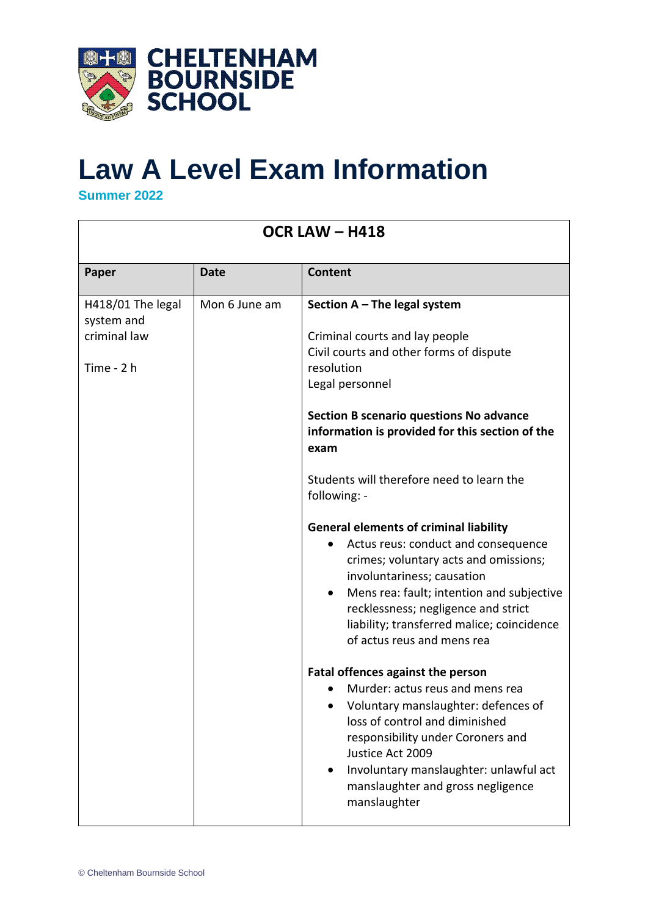

## **Law A Level Exam Information**

**Summer 2022**

| OCR LAW $-$ H418                                              |               |                                                                                                                                                                                                                                                                                                                                                                                                                                                                                                                                                                                                                                                                                                                                                                                                                                                                                                                                                                                 |  |  |
|---------------------------------------------------------------|---------------|---------------------------------------------------------------------------------------------------------------------------------------------------------------------------------------------------------------------------------------------------------------------------------------------------------------------------------------------------------------------------------------------------------------------------------------------------------------------------------------------------------------------------------------------------------------------------------------------------------------------------------------------------------------------------------------------------------------------------------------------------------------------------------------------------------------------------------------------------------------------------------------------------------------------------------------------------------------------------------|--|--|
| Paper                                                         | Date          | <b>Content</b>                                                                                                                                                                                                                                                                                                                                                                                                                                                                                                                                                                                                                                                                                                                                                                                                                                                                                                                                                                  |  |  |
| H418/01 The legal<br>system and<br>criminal law<br>Time - 2 h | Mon 6 June am | Section A - The legal system<br>Criminal courts and lay people<br>Civil courts and other forms of dispute<br>resolution<br>Legal personnel<br>Section B scenario questions No advance<br>information is provided for this section of the<br>exam<br>Students will therefore need to learn the<br>following: -<br><b>General elements of criminal liability</b><br>Actus reus: conduct and consequence<br>crimes; voluntary acts and omissions;<br>involuntariness; causation<br>Mens rea: fault; intention and subjective<br>$\bullet$<br>recklessness; negligence and strict<br>liability; transferred malice; coincidence<br>of actus reus and mens rea<br>Fatal offences against the person<br>Murder: actus reus and mens rea<br>Voluntary manslaughter: defences of<br>loss of control and diminished<br>responsibility under Coroners and<br>Justice Act 2009<br>Involuntary manslaughter: unlawful act<br>$\bullet$<br>manslaughter and gross negligence<br>manslaughter |  |  |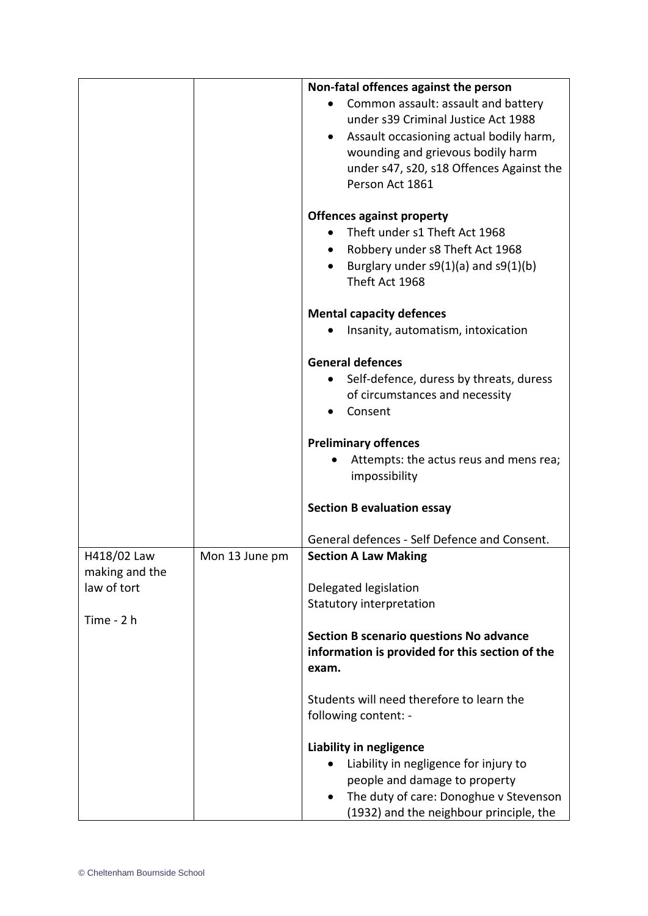|                |                | Non-fatal offences against the person               |
|----------------|----------------|-----------------------------------------------------|
|                |                | Common assault: assault and battery                 |
|                |                | under s39 Criminal Justice Act 1988                 |
|                |                | Assault occasioning actual bodily harm,             |
|                |                |                                                     |
|                |                | wounding and grievous bodily harm                   |
|                |                | under s47, s20, s18 Offences Against the            |
|                |                | Person Act 1861                                     |
|                |                | <b>Offences against property</b>                    |
|                |                | Theft under s1 Theft Act 1968                       |
|                |                | Robbery under s8 Theft Act 1968                     |
|                |                | Burglary under $s9(1)(a)$ and $s9(1)(b)$            |
|                |                | Theft Act 1968                                      |
|                |                |                                                     |
|                |                | <b>Mental capacity defences</b>                     |
|                |                | Insanity, automatism, intoxication                  |
|                |                | <b>General defences</b>                             |
|                |                |                                                     |
|                |                | Self-defence, duress by threats, duress             |
|                |                | of circumstances and necessity                      |
|                |                | Consent                                             |
|                |                | <b>Preliminary offences</b>                         |
|                |                | Attempts: the actus reus and mens rea;              |
|                |                | impossibility                                       |
|                |                |                                                     |
|                |                | <b>Section B evaluation essay</b>                   |
|                |                | General defences - Self Defence and Consent.        |
| H418/02 Law    | Mon 13 June pm | <b>Section A Law Making</b>                         |
| making and the |                |                                                     |
| law of tort    |                | Delegated legislation                               |
|                |                | Statutory interpretation                            |
| Time - 2 h     |                |                                                     |
|                |                | <b>Section B scenario questions No advance</b>      |
|                |                | information is provided for this section of the     |
|                |                | exam.                                               |
|                |                |                                                     |
|                |                | Students will need therefore to learn the           |
|                |                | following content: -                                |
|                |                | <b>Liability in negligence</b>                      |
|                |                | Liability in negligence for injury to               |
|                |                | people and damage to property                       |
|                |                | The duty of care: Donoghue v Stevenson<br>$\bullet$ |
|                |                | (1932) and the neighbour principle, the             |
|                |                |                                                     |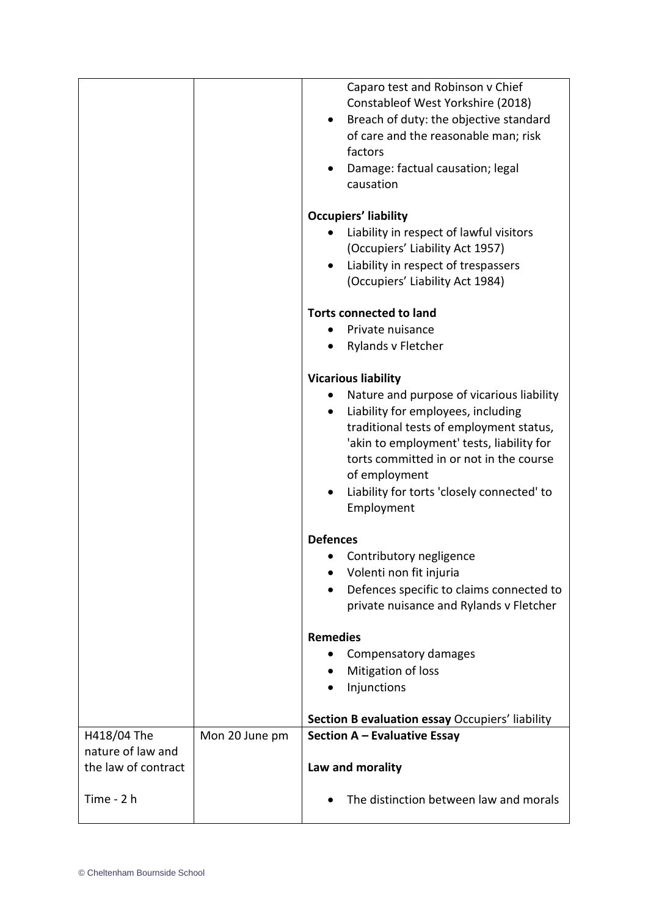|                                          |                | Caparo test and Robinson v Chief<br>Constableof West Yorkshire (2018)<br>Breach of duty: the objective standard<br>of care and the reasonable man; risk<br>factors<br>Damage: factual causation; legal<br>causation                                                                                                                        |
|------------------------------------------|----------------|--------------------------------------------------------------------------------------------------------------------------------------------------------------------------------------------------------------------------------------------------------------------------------------------------------------------------------------------|
|                                          |                | <b>Occupiers' liability</b><br>Liability in respect of lawful visitors<br>(Occupiers' Liability Act 1957)<br>Liability in respect of trespassers<br>(Occupiers' Liability Act 1984)                                                                                                                                                        |
|                                          |                | <b>Torts connected to land</b><br>Private nuisance<br>Rylands v Fletcher                                                                                                                                                                                                                                                                   |
|                                          |                | <b>Vicarious liability</b><br>Nature and purpose of vicarious liability<br>Liability for employees, including<br>$\bullet$<br>traditional tests of employment status,<br>'akin to employment' tests, liability for<br>torts committed in or not in the course<br>of employment<br>Liability for torts 'closely connected' to<br>Employment |
|                                          |                | <b>Defences</b><br>Contributory negligence<br>Volenti non fit injuria<br>Defences specific to claims connected to<br>private nuisance and Rylands v Fletcher                                                                                                                                                                               |
|                                          |                | <b>Remedies</b><br>Compensatory damages<br>$\bullet$<br>Mitigation of loss<br>Injunctions                                                                                                                                                                                                                                                  |
| H418/04 The                              | Mon 20 June pm | Section B evaluation essay Occupiers' liability<br>Section A - Evaluative Essay                                                                                                                                                                                                                                                            |
| nature of law and<br>the law of contract |                | Law and morality                                                                                                                                                                                                                                                                                                                           |
| Time - 2 h                               |                | The distinction between law and morals                                                                                                                                                                                                                                                                                                     |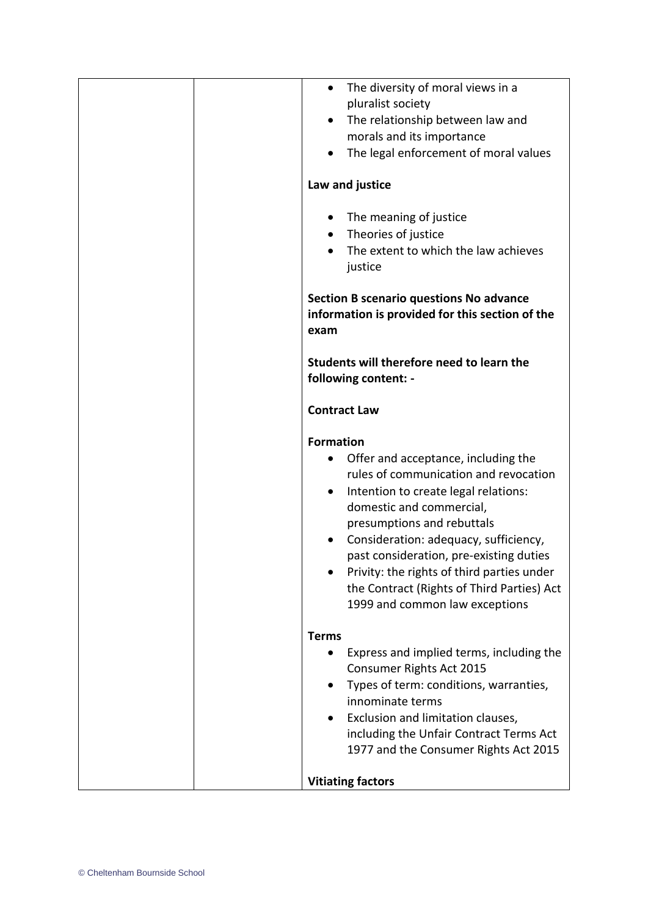| The diversity of moral views in a<br>$\bullet$<br>pluralist society<br>The relationship between law and<br>$\bullet$<br>morals and its importance<br>The legal enforcement of moral values                                                                                                                                                                                                                                             |
|----------------------------------------------------------------------------------------------------------------------------------------------------------------------------------------------------------------------------------------------------------------------------------------------------------------------------------------------------------------------------------------------------------------------------------------|
| Law and justice                                                                                                                                                                                                                                                                                                                                                                                                                        |
| The meaning of justice<br>٠<br>Theories of justice<br>$\bullet$<br>The extent to which the law achieves<br>justice                                                                                                                                                                                                                                                                                                                     |
| <b>Section B scenario questions No advance</b><br>information is provided for this section of the<br>exam                                                                                                                                                                                                                                                                                                                              |
| Students will therefore need to learn the<br>following content: -                                                                                                                                                                                                                                                                                                                                                                      |
| <b>Contract Law</b>                                                                                                                                                                                                                                                                                                                                                                                                                    |
| <b>Formation</b><br>Offer and acceptance, including the<br>٠<br>rules of communication and revocation<br>Intention to create legal relations:<br>$\bullet$<br>domestic and commercial,<br>presumptions and rebuttals<br>Consideration: adequacy, sufficiency,<br>past consideration, pre-existing duties<br>Privity: the rights of third parties under<br>the Contract (Rights of Third Parties) Act<br>1999 and common law exceptions |
| <b>Terms</b><br>Express and implied terms, including the<br>Consumer Rights Act 2015<br>Types of term: conditions, warranties,<br>innominate terms<br>Exclusion and limitation clauses,<br>including the Unfair Contract Terms Act<br>1977 and the Consumer Rights Act 2015                                                                                                                                                            |
| <b>Vitiating factors</b>                                                                                                                                                                                                                                                                                                                                                                                                               |